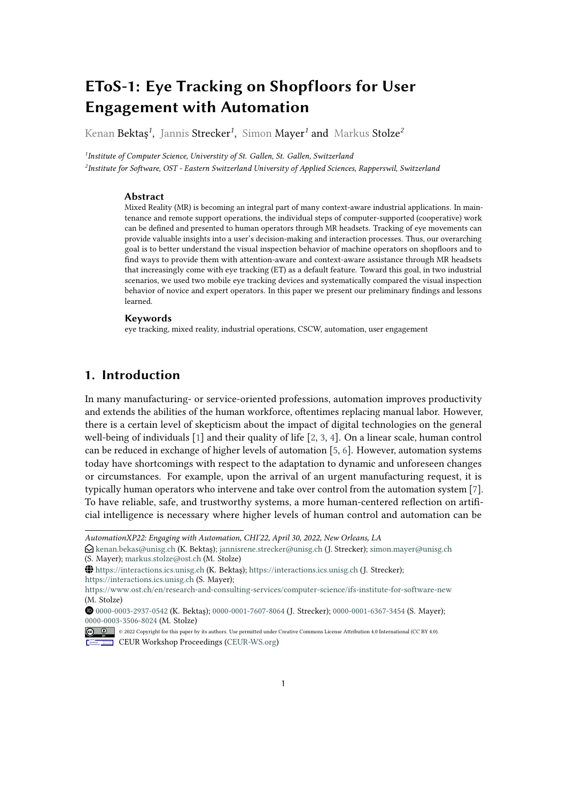# **EToS-1: Eye Tracking on Shopfloors for User Engagement with Automation**

Kenan Bektaş*<sup>1</sup>* , Jannis Strecker*<sup>1</sup>* , Simon Mayer*<sup>1</sup>* and Markus Stolze*<sup>2</sup>*

*1 Institute of Computer Science, Universtity of St. Gallen, St. Gallen, Switzerland 2 Institute for Sofware, OST - Eastern Switzerland University of Applied Sciences, Rapperswil, Switzerland*

#### **Abstract**

Mixed Reality (MR) is becoming an integral part of many context-aware industrial applications. In maintenance and remote support operations, the individual steps of computer-supported (cooperative) work can be defned and presented to human operators through MR headsets. Tracking of eye movements can provide valuable insights into a user's decision-making and interaction processes. Thus, our overarching goal is to better understand the visual inspection behavior of machine operators on shopfoors and to fnd ways to provide them with attention-aware and context-aware assistance through MR headsets that increasingly come with eye tracking (ET) as a default feature. Toward this goal, in two industrial scenarios, we used two mobile eye tracking devices and systematically compared the visual inspection behavior of novice and expert operators. In this paper we present our preliminary fndings and lessons learned.

#### **Keywords**

eye tracking, mixed reality, industrial operations, CSCW, automation, user engagement

## **1. Introduction**

In many manufacturing- or service-oriented professions, automation improves productivity and extends the abilities of the human workforce, ofentimes replacing manual labor. However, there is a certain level of skepticism about the impact of digital technologies on the general well-being of individuals [\[1\]](#page-8-0) and their quality of life [\[2,](#page-8-1) [3,](#page-8-2) [4\]](#page-8-3). On a linear scale, human control can be reduced in exchange of higher levels of automation [\[5,](#page-8-4) [6\]](#page-8-5). However, automation systems today have shortcomings with respect to the adaptation to dynamic and unforeseen changes or circumstances. For example, upon the arrival of an urgent manufacturing request, it is typically human operators who intervene and take over control from the automation system [\[7\]](#page-8-6). To have reliable, safe, and trustworthy systems, a more human-centered refection on artifcial intelligence is necessary where higher levels of human control and automation can be

*AutomationXP22: Engaging with Automation, CHI'22, April 30, 2022, New Orleans, LA*

E [kenan.bekas@unisg.ch](mailto:kenan.bekas@unisg.ch) (K. Bektaş); [jannisrene.strecker@unisg.ch](mailto:jannisrene.strecker@unisg.ch) (J. Strecker); [simon.mayer@unisg.ch](mailto:simon.mayer@unisg.ch) (S. Mayer); [markus.stolze@ost.ch](mailto:markus.stolze@ost.ch) (M. Stolze)

G <https://interactions.ics.unisg.ch> (K. Bektaş); <https://interactions.ics.unisg.ch> (J. Strecker); <https://interactions.ics.unisg.ch> (S. Mayer);

<https://www.ost.ch/en/research-and-consulting-services/computer-science/ifs-institute-for-software-new> (M. Stolze)

O [0000-0003-2937-0542](https://orcid.org/0000-0003-2937-0542) (K. Bektaş); [0000-0001-7607-8064](https://orcid.org/0000-0001-7607-8064) (J. Strecker); [0000-0001-6367-3454](https://orcid.org/0000-0001-6367-3454) (S. Mayer); [0000-0003-3506-8024](https://orcid.org/0000-0003-3506-8024) (M. Stolze)

CEUR Workshop [Proceedings](http://ceur-ws.org) [\(CEUR-WS.org\)](http://ceur-ws.org) © 2022 Copyright for this paper by its authors. Use permitted under Creative Commons License Attribution 4.0 International (CC BY 4.0).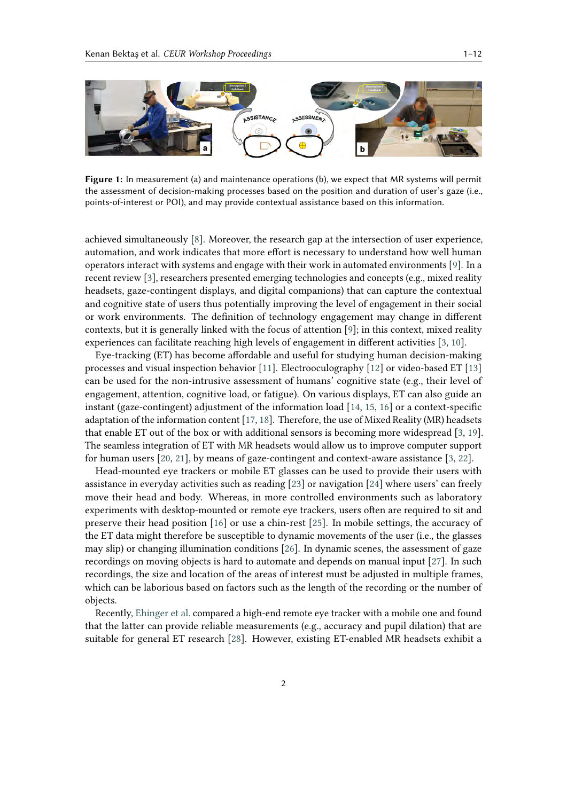

<span id="page-1-0"></span>**Figure 1:** In measurement (a) and maintenance operations (b), we expect that MR systems will permit the assessment of decision-making processes based on the position and duration of user's gaze (i.e., points-of-interest or POI), and may provide contextual assistance based on this information.

achieved simultaneously [\[8\]](#page-8-7). Moreover, the research gap at the intersection of user experience, automation, and work indicates that more efort is necessary to understand how well human operators interact with systems and engage with their work in automated environments [\[9\]](#page-8-8). In a recent review [\[3\]](#page-8-2), researchers presented emerging technologies and concepts (e.g., mixed reality headsets, gaze-contingent displays, and digital companions) that can capture the contextual and cognitive state of users thus potentially improving the level of engagement in their social or work environments. The defnition of technology engagement may change in diferent contexts, but it is generally linked with the focus of attention [\[9\]](#page-8-8); in this context, mixed reality experiences can facilitate reaching high levels of engagement in diferent activities [\[3,](#page-8-2) [10\]](#page-8-9).

Eye-tracking (ET) has become afordable and useful for studying human decision-making processes and visual inspection behavior [\[11\]](#page-8-10). Electrooculography [\[12\]](#page-9-0) or video-based ET [\[13\]](#page-9-1) can be used for the non-intrusive assessment of humans' cognitive state (e.g., their level of engagement, attention, cognitive load, or fatigue). On various displays, ET can also guide an instant (gaze-contingent) adjustment of the information load [\[14,](#page-9-2) [15,](#page-9-3) [16\]](#page-9-4) or a context-specifc adaptation of the information content [\[17,](#page-9-5) [18\]](#page-9-6). Therefore, the use of Mixed Reality (MR) headsets that enable ET out of the box or with additional sensors is becoming more widespread [\[3,](#page-8-2) [19\]](#page-9-7). The seamless integration of ET with MR headsets would allow us to improve computer support for human users [\[20,](#page-9-8) [21\]](#page-9-9), by means of gaze-contingent and context-aware assistance [\[3,](#page-8-2) [22\]](#page-9-10).

Head-mounted eye trackers or mobile ET glasses can be used to provide their users with assistance in everyday activities such as reading [\[23\]](#page-9-11) or navigation [\[24\]](#page-10-0) where users' can freely move their head and body. Whereas, in more controlled environments such as laboratory experiments with desktop-mounted or remote eye trackers, users often are required to sit and preserve their head position [\[16\]](#page-9-4) or use a chin-rest [\[25\]](#page-10-1). In mobile settings, the accuracy of the ET data might therefore be susceptible to dynamic movements of the user (i.e., the glasses may slip) or changing illumination conditions [\[26\]](#page-10-2). In dynamic scenes, the assessment of gaze recordings on moving objects is hard to automate and depends on manual input [\[27\]](#page-10-3). In such recordings, the size and location of the areas of interest must be adjusted in multiple frames, which can be laborious based on factors such as the length of the recording or the number of objects.

Recently, [Ehinger](#page-10-4) et al. compared a high-end remote eye tracker with a mobile one and found that the latter can provide reliable measurements (e.g., accuracy and pupil dilation) that are suitable for general ET research [\[28\]](#page-10-4). However, existing ET-enabled MR headsets exhibit a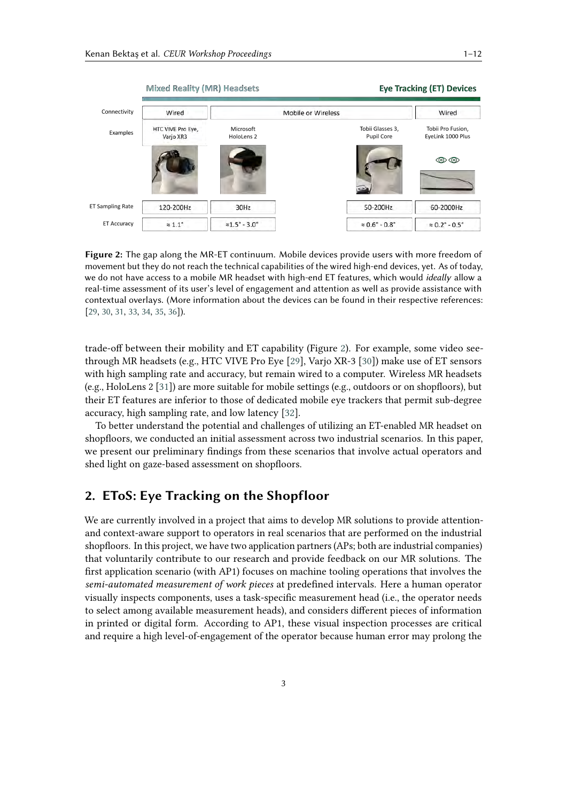

<span id="page-2-0"></span>**Figure 2:** The gap along the MR-ET continuum. Mobile devices provide users with more freedom of movement but they do not reach the technical capabilities of the wired high-end devices, yet. As of today, we do not have access to a mobile MR headset with high-end ET features, which would *ideally* allow a real-time assessment of its user's level of engagement and attention as well as provide assistance with contextual overlays. (More information about the devices can be found in their respective references: [\[29,](#page-10-5) [30,](#page-10-6) [31,](#page-10-7) [33,](#page-10-8) [34,](#page-10-9) [35,](#page-10-10) [36\]](#page-10-11)).

trade-of between their mobility and ET capability (Figure [2\)](#page-2-0). For example, some video seethrough MR headsets (e.g., HTC VIVE Pro Eye [\[29\]](#page-10-5), Varjo XR-3 [\[30\]](#page-10-6)) make use of ET sensors with high sampling rate and accuracy, but remain wired to a computer. Wireless MR headsets (e.g., HoloLens 2 [\[31\]](#page-10-7)) are more suitable for mobile settings (e.g., outdoors or on shopfoors), but their ET features are inferior to those of dedicated mobile eye trackers that permit sub-degree accuracy, high sampling rate, and low latency [\[32\]](#page-10-12).

To better understand the potential and challenges of utilizing an ET-enabled MR headset on shopfloors, we conducted an initial assessment across two industrial scenarios. In this paper, we present our preliminary fndings from these scenarios that involve actual operators and shed light on gaze-based assessment on shopfloors.

## **2. EToS: Eye Tracking on the Shopfloor**

We are currently involved in a project that aims to develop MR solutions to provide attentionand context-aware support to operators in real scenarios that are performed on the industrial shopfloors. In this project, we have two application partners (APs; both are industrial companies) that voluntarily contribute to our research and provide feedback on our MR solutions. The frst application scenario (with AP1) focuses on machine tooling operations that involves the *semi-automated measurement of work pieces* at predefned intervals. Here a human operator visually inspects components, uses a task-specifc measurement head (i.e., the operator needs to select among available measurement heads), and considers diferent pieces of information in printed or digital form. According to AP1, these visual inspection processes are critical and require a high level-of-engagement of the operator because human error may prolong the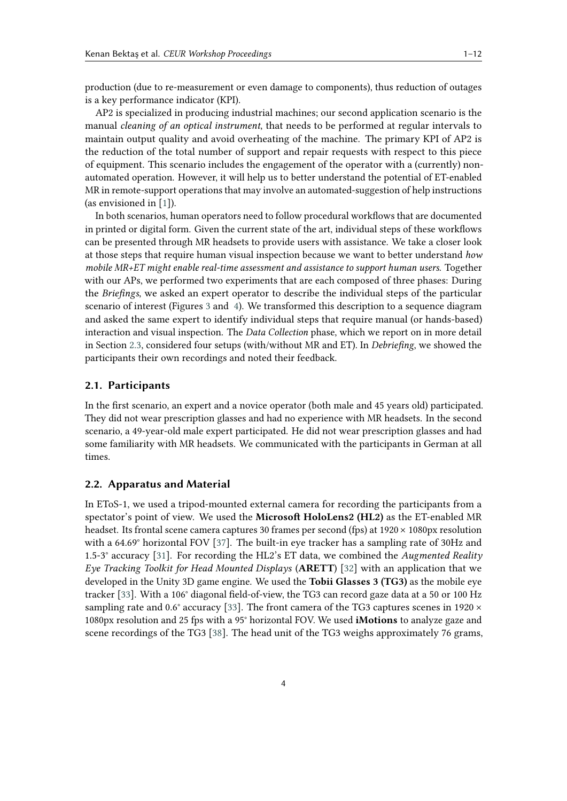production (due to re-measurement or even damage to components), thus reduction of outages is a key performance indicator (KPI).

AP2 is specialized in producing industrial machines; our second application scenario is the manual *cleaning of an optical instrument*, that needs to be performed at regular intervals to maintain output quality and avoid overheating of the machine. The primary KPI of AP2 is the reduction of the total number of support and repair requests with respect to this piece of equipment. This scenario includes the engagement of the operator with a (currently) nonautomated operation. However, it will help us to better understand the potential of ET-enabled MR in remote-support operationsthat may involve an automated-suggestion of help instructions (as envisioned in [\[1\]](#page-8-0)).

In both scenarios, human operators need to follow procedural workfows that are documented in printed or digital form. Given the current state of the art, individual steps of these workfows can be presented through MR headsets to provide users with assistance. We take a closer look at those steps that require human visual inspection because we want to better understand *how mobile MR+ET might enable real-time assessment and assistance to support human users*. Together with our APs, we performed two experiments that are each composed of three phases: During the *Briefngs*, we asked an expert operator to describe the individual steps of the particular scenario of interest (Figures [3](#page-4-0) and [4\)](#page-4-1). We transformed this description to a sequence diagram and asked the same expert to identify individual steps that require manual (or hands-based) interaction and visual inspection. The *Data Collection* phase, which we report on in more detail in Section [2.3,](#page-4-2) considered four setups (with/without MR and ET). In *Debriefng*, we showed the participants their own recordings and noted their feedback.

## **2.1. Participants**

In the frst scenario, an expert and a novice operator (both male and 45 years old) participated. They did not wear prescription glasses and had no experience with MR headsets. In the second scenario, a 49-year-old male expert participated. He did not wear prescription glasses and had some familiarity with MR headsets. We communicated with the participants in German at all times.

#### **2.2. Apparatus and Material**

In EToS-1, we used a tripod-mounted external camera for recording the participants from a spectator's point of view. We used the **Microsof HoloLens2 (HL2)** as the ET-enabled MR headset. Its frontal scene camera captures 30 frames per second (fps) at 1920 × 1080px resolution with a 64.69° horizontal FOV [\[37\]](#page-10-13). The built-in eye tracker has a sampling rate of 30Hz and 1.5-3° accuracy [\[31\]](#page-10-7). For recording the HL2's ET data, we combined the *Augmented Reality Eye Tracking Toolkit for Head Mounted Displays* (**ARETT**) [\[32\]](#page-10-12) with an application that we developed in the Unity 3D game engine. We used the **Tobii Glasses 3 (TG3)** as the mobile eye tracker [\[33\]](#page-10-8). With a 106° diagonal feld-of-view, the TG3 can record gaze data at a 50 or 100 Hz sampling rate and 0.6° accuracy [\[33\]](#page-10-8). The front camera of the TG3 captures scenes in 1920  $\times$ 1080px resolution and 25 fps with a 95° horizontal FOV. We used **iMotions** to analyze gaze and scene recordings of the TG3 [\[38\]](#page-10-14). The head unit of the TG3 weighs approximately 76 grams,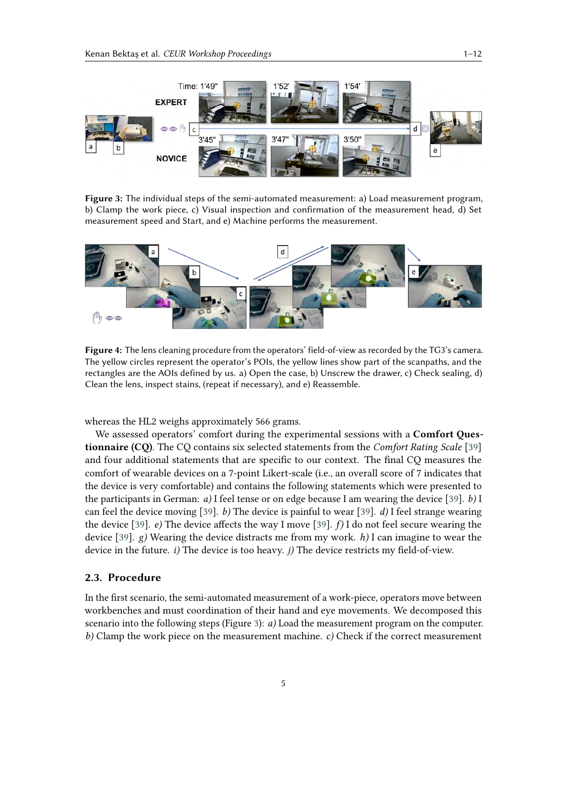

<span id="page-4-0"></span>**Figure 3:** The individual steps of the semi-automated measurement: a) Load measurement program, b) Clamp the work piece, c) Visual inspection and confirmation of the measurement head, d) Set measurement speed and Start, and e) Machine performs the measurement.



<span id="page-4-1"></span>**Figure 4:** The lens cleaning procedure from the operators' field-of-view as recorded by the TG3's camera. The yellow circles represent the operator's POIs, the yellow lines show part of the scanpaths, and the rectangles are the AOIs defined by us. a) Open the case, b) Unscrew the drawer, c) Check sealing, d) Clean the lens, inspect stains, (repeat if necessary), and e) Reassemble.

whereas the HL2 weighs approximately 566 grams.

We assessed operators' comfort during the experimental sessions with a **Comfort Questionnaire (CQ)**. The CQ contains six selected statements from the *Comfort Rating Scale* [\[39\]](#page-10-15) and four additional statements that are specifc to our context. The fnal CQ measures the comfort of wearable devices on a 7-point Likert-scale (i.e., an overall score of 7 indicates that the device is very comfortable) and contains the following statements which were presented to the participants in German: *a)* I feel tense or on edge because I am wearing the device [\[39\]](#page-10-15). *b)* I can feel the device moving [\[39\]](#page-10-15). *b)* The device is painful to wear [\[39\]](#page-10-15). *d)* I feel strange wearing the device [\[39\]](#page-10-15). *e)* The device afects the way I move [\[39\]](#page-10-15). *f)* I do not feel secure wearing the device [\[39\]](#page-10-15). *g)* Wearing the device distracts me from my work. *h)* I can imagine to wear the device in the future. *i)* The device is too heavy. *j)* The device restricts my feld-of-view.

## <span id="page-4-2"></span>**2.3. Procedure**

In the frst scenario, the semi-automated measurement of a work-piece, operators move between workbenches and must coordination of their hand and eye movements. We decomposed this scenario into the following steps (Figure [3\)](#page-4-0): *a)* Load the measurement program on the computer. *b)* Clamp the work piece on the measurement machine. *c)* Check if the correct measurement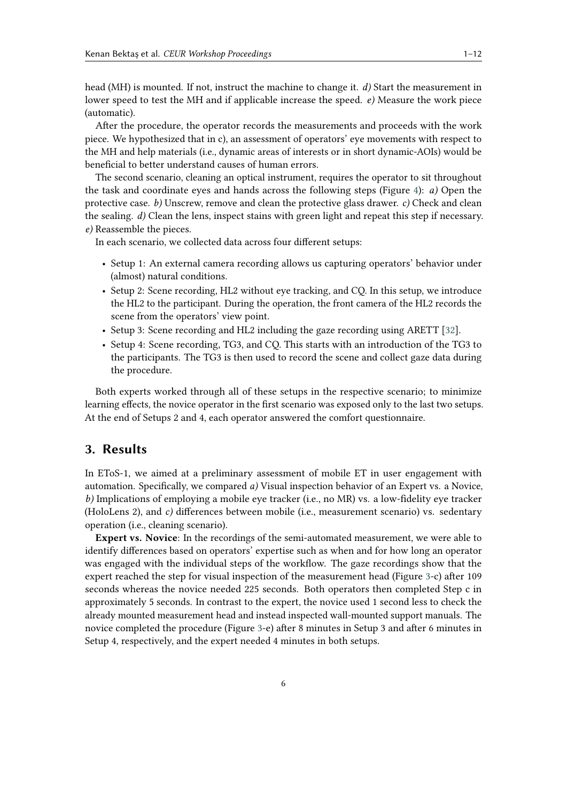head (MH) is mounted. If not, instruct the machine to change it. *d)* Start the measurement in lower speed to test the MH and if applicable increase the speed. *e)* Measure the work piece (automatic).

Afer the procedure, the operator records the measurements and proceeds with the work piece. We hypothesized that in c), an assessment of operators' eye movements with respect to the MH and help materials (i.e., dynamic areas of interests or in short dynamic-AOIs) would be benefcial to better understand causes of human errors.

The second scenario, cleaning an optical instrument, requires the operator to sit throughout the task and coordinate eyes and hands across the following steps (Figure [4\)](#page-4-1): *a)* Open the protective case. *b)* Unscrew, remove and clean the protective glass drawer. *c)* Check and clean the sealing. *d)* Clean the lens, inspect stains with green light and repeat this step if necessary. *e)* Reassemble the pieces.

In each scenario, we collected data across four diferent setups:

- Setup 1: An external camera recording allows us capturing operators' behavior under (almost) natural conditions.
- Setup 2: Scene recording, HL2 without eye tracking, and CQ. In this setup, we introduce the HL2 to the participant. During the operation, the front camera of the HL2 records the scene from the operators' view point.
- Setup 3: Scene recording and HL2 including the gaze recording using ARETT [\[32\]](#page-10-12).
- Setup 4: Scene recording, TG3, and CQ. This starts with an introduction of the TG3 to the participants. The TG3 is then used to record the scene and collect gaze data during the procedure.

Both experts worked through all of these setups in the respective scenario; to minimize learning effects, the novice operator in the first scenario was exposed only to the last two setups. At the end of Setups 2 and 4, each operator answered the comfort questionnaire.

## **3. Results**

In EToS-1, we aimed at a preliminary assessment of mobile ET in user engagement with automation. Specifcally, we compared *a)* Visual inspection behavior of an Expert vs. a Novice, *b)* Implications of employing a mobile eye tracker (i.e., no MR) vs. a low-fdelity eye tracker (HoloLens 2), and *c)* diferences between mobile (i.e., measurement scenario) vs. sedentary operation (i.e., cleaning scenario).

**Expert vs. Novice**: In the recordings of the semi-automated measurement, we were able to identify diferences based on operators' expertise such as when and for how long an operator was engaged with the individual steps of the workflow. The gaze recordings show that the expert reached the step for visual inspection of the measurement head (Figure [3-](#page-4-0)c) afer 109 seconds whereas the novice needed 225 seconds. Both operators then completed Step c in approximately 5 seconds. In contrast to the expert, the novice used 1 second less to check the already mounted measurement head and instead inspected wall-mounted support manuals. The novice completed the procedure (Figure [3-](#page-4-0)e) after 8 minutes in Setup 3 and after 6 minutes in Setup 4, respectively, and the expert needed 4 minutes in both setups.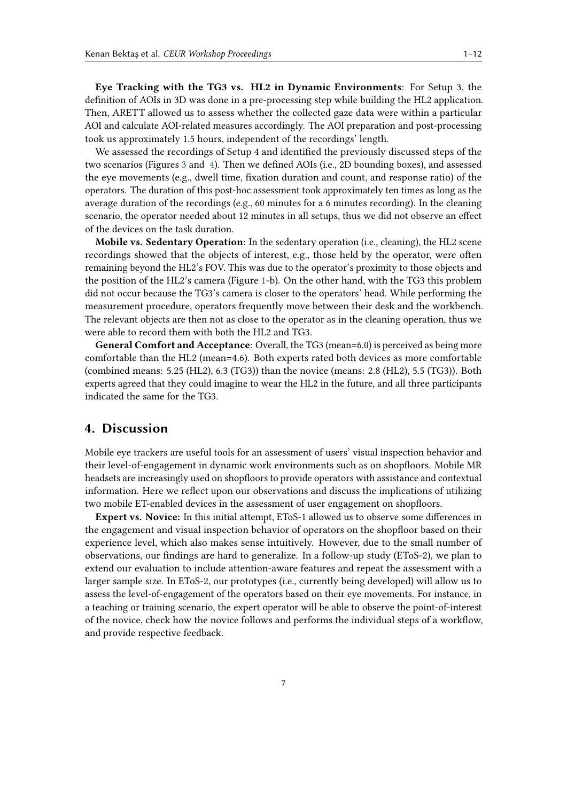**Eye Tracking with the TG3 vs. HL2 in Dynamic Environments**: For Setup 3, the defnition of AOIs in 3D was done in a pre-processing step while building the HL2 application. Then, ARETT allowed us to assess whether the collected gaze data were within a particular AOI and calculate AOI-related measures accordingly. The AOI preparation and post-processing took us approximately 1.5 hours, independent of the recordings' length.

We assessed the recordings of Setup 4 and identifed the previously discussed steps of the two scenarios (Figures [3](#page-4-0) and [4\)](#page-4-1). Then we defned AOIs (i.e., 2D bounding boxes), and assessed the eye movements (e.g., dwell time, fxation duration and count, and response ratio) of the operators. The duration of this post-hoc assessment took approximately ten times as long as the average duration of the recordings (e.g., 60 minutes for a 6 minutes recording). In the cleaning scenario, the operator needed about 12 minutes in all setups, thus we did not observe an efect of the devices on the task duration.

**Mobile vs. Sedentary Operation**: In the sedentary operation (i.e., cleaning), the HL2 scene recordings showed that the objects of interest, e.g., those held by the operator, were ofen remaining beyond the HL2's FOV. This was due to the operator's proximity to those objects and the position of the HL2's camera (Figure [1-](#page-1-0)b). On the other hand, with the TG3 this problem did not occur because the TG3's camera is closer to the operators' head. While performing the measurement procedure, operators frequently move between their desk and the workbench. The relevant objects are then not as close to the operator as in the cleaning operation, thus we were able to record them with both the HL2 and TG3.

**General Comfort and Acceptance**: Overall, the TG3 (mean=6.0) is perceived as being more comfortable than the HL2 (mean=4.6). Both experts rated both devices as more comfortable (combined means: 5.25 (HL2), 6.3 (TG3)) than the novice (means: 2.8 (HL2), 5.5 (TG3)). Both experts agreed that they could imagine to wear the HL2 in the future, and all three participants indicated the same for the TG3.

## **4. Discussion**

Mobile eye trackers are useful tools for an assessment of users' visual inspection behavior and their level-of-engagement in dynamic work environments such as on shopfoors. Mobile MR headsets are increasingly used on shopfloors to provide operators with assistance and contextual information. Here we refect upon our observations and discuss the implications of utilizing two mobile ET-enabled devices in the assessment of user engagement on shopfloors.

**Expert vs. Novice:** In this initial attempt, EToS-1 allowed us to observe some diferences in the engagement and visual inspection behavior of operators on the shopfoor based on their experience level, which also makes sense intuitively. However, due to the small number of observations, our fndings are hard to generalize. In a follow-up study (EToS-2), we plan to extend our evaluation to include attention-aware features and repeat the assessment with a larger sample size. In EToS-2, our prototypes (i.e., currently being developed) will allow us to assess the level-of-engagement of the operators based on their eye movements. For instance, in a teaching or training scenario, the expert operator will be able to observe the point-of-interest of the novice, check how the novice follows and performs the individual steps of a workfow, and provide respective feedback.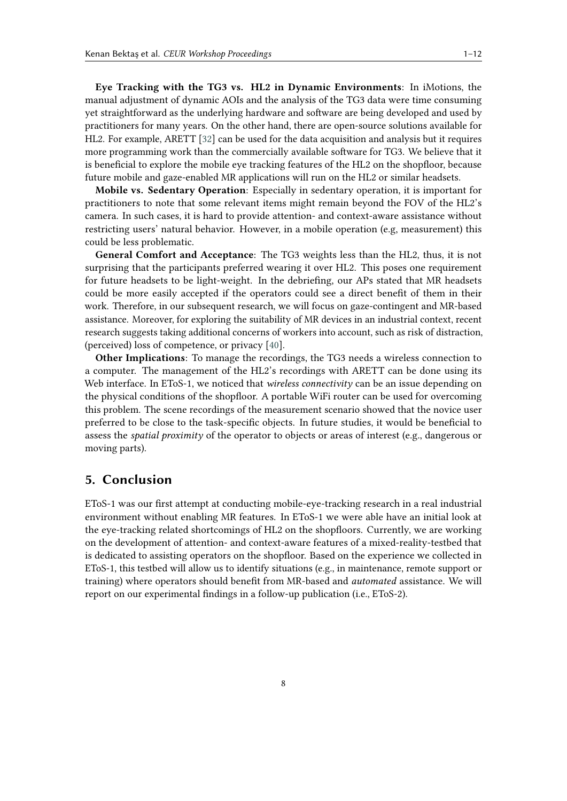**Eye Tracking with the TG3 vs. HL2 in Dynamic Environments**: In iMotions, the manual adjustment of dynamic AOIs and the analysis of the TG3 data were time consuming yet straightforward as the underlying hardware and sofware are being developed and used by practitioners for many years. On the other hand, there are open-source solutions available for HL2. For example, ARETT [\[32\]](#page-10-12) can be used for the data acquisition and analysis but it requires more programming work than the commercially available sofware for TG3. We believe that it is benefcial to explore the mobile eye tracking features of the HL2 on the shopfoor, because future mobile and gaze-enabled MR applications will run on the HL2 or similar headsets.

**Mobile vs. Sedentary Operation**: Especially in sedentary operation, it is important for practitioners to note that some relevant items might remain beyond the FOV of the HL2's camera. In such cases, it is hard to provide attention- and context-aware assistance without restricting users' natural behavior. However, in a mobile operation (e.g, measurement) this could be less problematic.

**General Comfort and Acceptance**: The TG3 weights less than the HL2, thus, it is not surprising that the participants preferred wearing it over HL2. This poses one requirement for future headsets to be light-weight. In the debriefng, our APs stated that MR headsets could be more easily accepted if the operators could see a direct beneft of them in their work. Therefore, in our subsequent research, we will focus on gaze-contingent and MR-based assistance. Moreover, for exploring the suitability of MR devices in an industrial context, recent research suggests taking additional concerns of workers into account, such as risk of distraction, (perceived) loss of competence, or privacy [\[40\]](#page-11-0).

**Other Implications**: To manage the recordings, the TG3 needs a wireless connection to a computer. The management of the HL2's recordings with ARETT can be done using its Web interface. In EToS-1, we noticed that *wireless connectivity* can be an issue depending on the physical conditions of the shopfloor. A portable WiFi router can be used for overcoming this problem. The scene recordings of the measurement scenario showed that the novice user preferred to be close to the task-specifc objects. In future studies, it would be benefcial to assess the *spatial proximity* of the operator to objects or areas of interest (e.g., dangerous or moving parts).

## **5. Conclusion**

EToS-1 was our frst attempt at conducting mobile-eye-tracking research in a real industrial environment without enabling MR features. In EToS-1 we were able have an initial look at the eye-tracking related shortcomings of HL2 on the shopfoors. Currently, we are working on the development of attention- and context-aware features of a mixed-reality-testbed that is dedicated to assisting operators on the shopfoor. Based on the experience we collected in EToS-1, this testbed will allow us to identify situations (e.g., in maintenance, remote support or training) where operators should beneft from MR-based and *automated* assistance. We will report on our experimental fndings in a follow-up publication (i.e., EToS-2).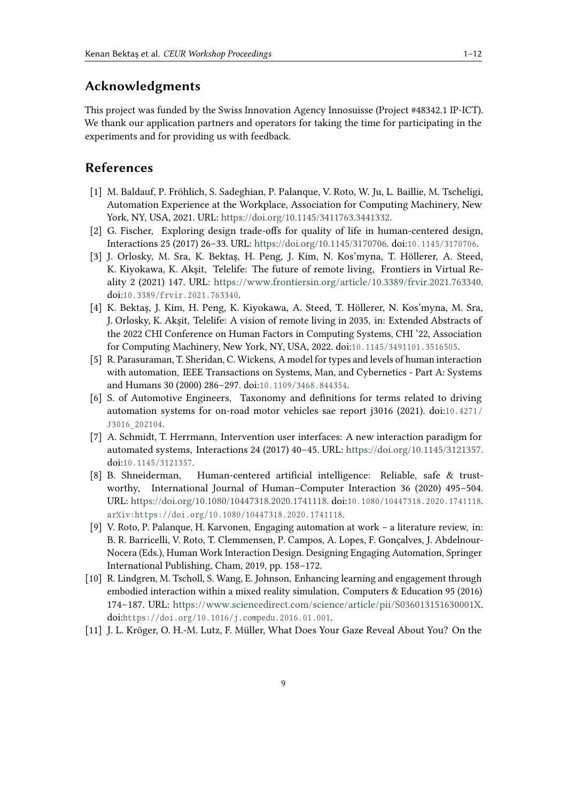## **Acknowledgments**

This project was funded by the Swiss Innovation Agency Innosuisse (Project #48342.1 IP-ICT). We thank our application partners and operators for taking the time for participating in the experiments and for providing us with feedback.

# **References**

- <span id="page-8-0"></span>[1] M. Baldauf, P. Fröhlich, S. Sadeghian, P. Palanque, V. Roto, W. Ju, L. Baillie, M. Tscheligi, Automation Experience at the Workplace, Association for Computing Machinery, New York, NY, USA, 2021. URL: [https://doi.org/10.1145/3411763.3441332.](https://doi.org/10.1145/3411763.3441332)
- <span id="page-8-1"></span>[2] G. Fischer, Exploring design trade-ofs for quality of life in human-centered design, Interactions 25 (2017) 26-33. URL: [https://doi.org/10.1145/3170706.](https://doi.org/10.1145/3170706) doi:10.1145/3170706.
- <span id="page-8-2"></span>[3] J. Orlosky, M. Sra, K. Bektaş, H. Peng, J. Kim, N. Kos'myna, T. Höllerer, A. Steed, K. Kiyokawa, K. Akşit, Telelife: The future of remote living, Frontiers in Virtual Reality 2 (2021) 147. URL: [https://www.frontiersin.org/article/10.3389/frvir.2021.763340.](https://www.frontiersin.org/article/10.3389/frvir.2021.763340) doi:10.3389/frvir.2021.763340.
- <span id="page-8-3"></span>[4] K. Bektaş, J. Kim, H. Peng, K. Kiyokawa, A. Steed, T. Höllerer, N. Kos'myna, M. Sra, J. Orlosky, K. Akşit, Telelife: A vision of remote living in 2035, in: Extended Abstracts of the 2022 CHI Conference on Human Factors in Computing Systems, CHI '22, Association for Computing Machinery, New York, NY, USA, 2022. doi:10.1145/3491101.3516505.
- <span id="page-8-4"></span>[5] R. Parasuraman, T. Sheridan, C. Wickens, A model for types and levels of human interaction with automation, IEEE Transactions on Systems, Man, and Cybernetics - Part A: Systems and Humans 30 (2000) 286-297. doi:10.1109/3468.844354.
- <span id="page-8-5"></span>[6] S. of Automotive Engineers, Taxonomy and defnitions for terms related to driving automation systems for on-road motor vehicles sae report j3016 (2021). doi:10.4271/ J 3016 202104.
- <span id="page-8-6"></span>[7] A. Schmidt, T. Herrmann, Intervention user interfaces: A new interaction paradigm for automated systems, Interactions 24 (2017) 40–45. URL: [https://doi.org/10.1145/3121357.](https://doi.org/10.1145/3121357) doi:10.1145/3121357.
- <span id="page-8-7"></span>[8] B. Shneiderman, Human-centered artifcial intelligence: Reliable, safe & trustworthy, International Journal of Human–Computer Interaction 36 (2020) 495–504. URL: [https://doi.org/10.1080/10447318.2020.1741118.](https://doi.org/10.1080/10447318.2020.1741118) doi:10.1080/10447318.2020.1741118. arXiv:https://doi.org/10.1080/10447318.2020.1741118.
- <span id="page-8-8"></span>[9] V. Roto, P. Palanque, H. Karvonen, Engaging automation at work – a literature review, in: B. R. Barricelli, V. Roto, T. Clemmensen, P. Campos, A. Lopes, F. Gonçalves, J. Abdelnour-Nocera (Eds.), Human Work Interaction Design. Designing Engaging Automation, Springer International Publishing, Cham, 2019, pp. 158–172.
- <span id="page-8-9"></span>[10] R. Lindgren, M. Tscholl, S. Wang, E. Johnson, Enhancing learning and engagement through embodied interaction within a mixed reality simulation, Computers & Education 95 (2016) 174–187. URL: [https://www.sciencedirect.com/science/article/pii/S036013151630001X.](https://www.sciencedirect.com/science/article/pii/S036013151630001X) doi:https://doi.org/10.1016/j.compedu.2016.01.001.
- <span id="page-8-10"></span>[11] J. L. Kröger, O. H.-M. Lutz, F. Müller, What Does Your Gaze Reveal About You? On the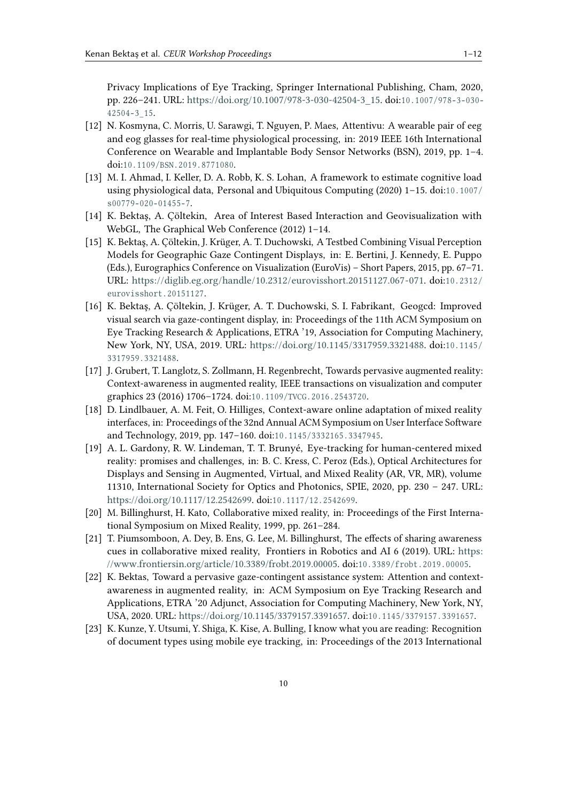Privacy Implications of Eye Tracking, Springer International Publishing, Cham, 2020, pp. 226–241. URL: [https://doi.org/10.1007/978-3-030-42504-3\\_15.](https://doi.org/10.1007/978-3-030-42504-3_15) doi:10.1007/978-3-030- $42504 - 3 - 15$ .

- <span id="page-9-0"></span>[12] N. Kosmyna, C. Morris, U. Sarawgi, T. Nguyen, P. Maes, Attentivu: A wearable pair of eeg and eog glasses for real-time physiological processing, in: 2019 IEEE 16th International Conference on Wearable and Implantable Body Sensor Networks (BSN), 2019, pp. 1–4. doi:10.1109/BSN.2019.8771080.
- <span id="page-9-1"></span>[13] M. I. Ahmad, I. Keller, D. A. Robb, K. S. Lohan, A framework to estimate cognitive load using physiological data, Personal and Ubiquitous Computing (2020) 1-15. doi:10.1007/  $s00779 - 020 - 01455 - 7.$
- <span id="page-9-2"></span>[14] K. Bektaş, A. Çöltekin, Area of Interest Based Interaction and Geovisualization with WebGL, The Graphical Web Conference (2012) 1–14.
- <span id="page-9-3"></span>[15] K. Bektaş, A. Çöltekin, J. Krüger, A. T. Duchowski, A Testbed Combining Visual Perception Models for Geographic Gaze Contingent Displays, in: E. Bertini, J. Kennedy, E. Puppo (Eds.), Eurographics Conference on Visualization (EuroVis) – Short Papers, 2015, pp. 67–71. URL: [https://diglib.eg.org/handle/10.2312/eurovisshort.20151127.067-071.](https://diglib.eg.org/handle/10.2312/eurovisshort.20151127.067-071) doi:10.2312/ eurovisshort.20151127.
- <span id="page-9-4"></span>[16] K. Bektaş, A. Çöltekin, J. Krüger, A. T. Duchowski, S. I. Fabrikant, Geogcd: Improved visual search via gaze-contingent display, in: Proceedings of the 11th ACM Symposium on Eye Tracking Research & Applications, ETRA '19, Association for Computing Machinery, New York, NY, USA, 2019. URL: [https://doi.org/10.1145/3317959.3321488.](https://doi.org/10.1145/3317959.3321488) doi:10.1145/ [3 3 1 7 9 5 9 . 3 3 2 1 4 8 8](http://dx.doi.org/10.1145/3317959.3321488).
- <span id="page-9-5"></span>[17] J. Grubert, T. Langlotz, S. Zollmann, H. Regenbrecht, Towards pervasive augmented reality: Context-awareness in augmented reality, IEEE transactions on visualization and computer graphics 23 (2016) 1706-1724. doi:10.1109/TVCG.2016.2543720.
- <span id="page-9-6"></span>[18] D. Lindlbauer, A. M. Feit, O. Hilliges, Context-aware online adaptation of mixed reality interfaces, in: Proceedings of the 32nd Annual ACM Symposium on User Interface Software and Technology, 2019, pp. 147-160. doi:10.1145/3332165.3347945.
- <span id="page-9-7"></span>[19] A. L. Gardony, R. W. Lindeman, T. T. Brunyé, Eye-tracking for human-centered mixed reality: promises and challenges, in: B. C. Kress, C. Peroz (Eds.), Optical Architectures for Displays and Sensing in Augmented, Virtual, and Mixed Reality (AR, VR, MR), volume 11310, International Society for Optics and Photonics, SPIE, 2020, pp. 230 – 247. URL: [https://doi.org/10.1117/12.2542699.](https://doi.org/10.1117/12.2542699) doi:10.1117/12.2542699.
- <span id="page-9-8"></span>[20] M. Billinghurst, H. Kato, Collaborative mixed reality, in: Proceedings of the First International Symposium on Mixed Reality, 1999, pp. 261–284.
- <span id="page-9-9"></span>[21] T. Piumsomboon, A. Dey, B. Ens, G. Lee, M. Billinghurst, The effects of sharing awareness cues in collaborative mixed reality, Frontiers in Robotics and AI 6 (2019). URL: [https:](https://www.frontiersin.org/article/10.3389/frobt.2019.00005) [//www.frontiersin.org/article/10.3389/frobt.2019.00005.](https://www.frontiersin.org/article/10.3389/frobt.2019.00005) doi:10.3389/frobt.2019.00005.
- <span id="page-9-10"></span>[22] K. Bektas, Toward a pervasive gaze-contingent assistance system: Attention and contextawareness in augmented reality, in: ACM Symposium on Eye Tracking Research and Applications, ETRA '20 Adjunct, Association for Computing Machinery, New York, NY, USA, 2020. URL: [https://doi.org/10.1145/3379157.3391657.](https://doi.org/10.1145/3379157.3391657) doi:10.1145/3379157.3391657.
- <span id="page-9-11"></span>[23] K. Kunze, Y. Utsumi, Y. Shiga, K. Kise, A. Bulling, I know what you are reading: Recognition of document types using mobile eye tracking, in: Proceedings of the 2013 International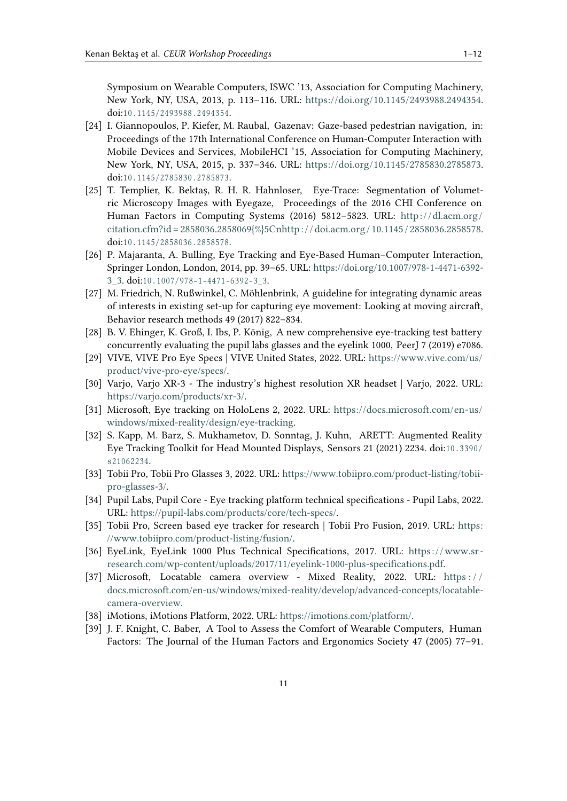Symposium on Wearable Computers, ISWC '13, Association for Computing Machinery, New York, NY, USA, 2013, p. 113–116. URL: [https://doi.org/10.1145/2493988.2494354.](https://doi.org/10.1145/2493988.2494354) doi:10.1145/2493988.2494354.

- <span id="page-10-0"></span>[24] I. Giannopoulos, P. Kiefer, M. Raubal, Gazenav: Gaze-based pedestrian navigation, in: Proceedings of the 17th International Conference on Human-Computer Interaction with Mobile Devices and Services, MobileHCI '15, Association for Computing Machinery, New York, NY, USA, 2015, p. 337–346. URL: [https://doi.org/10.1145/2785830.2785873.](https://doi.org/10.1145/2785830.2785873) doi:10.1145/2785830.2785873.
- <span id="page-10-1"></span>[25] T. Templier, K. Bektaş, R. H. R. Hahnloser, Eye-Trace: Segmentation of Volumetric Microscopy Images with Eyegaze, Proceedings of the 2016 CHI Conference on Human Factors in Computing Systems (2016) 5812-5823. URL: http://dl.acm.org/ [citation.cfm?id=2858036.2858069{%}5Cnhttp](http://dl.acm.org/citation.cfm?id=2858036.2858069{%}5Cnhttp://doi.acm.org/10.1145/2858036.2858578) :// doi.acm.org / 10.1145 / 2858036.2858578. doi:10.1145/2858036.2858578.
- <span id="page-10-2"></span>[26] P. Majaranta, A. Bulling, Eye Tracking and Eye-Based Human–Computer Interaction, Springer London, London, 2014, pp. 39–65. URL: [https://doi.org/10.1007/978-1-4471-6392-](https://doi.org/10.1007/978-1-4471-6392-3_3) 3 3. doi:10.1007/978-1-4471-6392-3 3.
- <span id="page-10-3"></span>[27] M. Friedrich, N. Rußwinkel, C. Möhlenbrink, A guideline for integrating dynamic areas of interests in existing set-up for capturing eye movement: Looking at moving aircraf, Behavior research methods 49 (2017) 822–834.
- <span id="page-10-4"></span>[28] B. V. Ehinger, K. Groß, I. Ibs, P. König, A new comprehensive eye-tracking test battery concurrently evaluating the pupil labs glasses and the eyelink 1000, PeerJ 7 (2019) e7086.
- <span id="page-10-5"></span>[29] VIVE, VIVE Pro Eye Specs | VIVE United States, 2022. URL: [https://www.vive.com/us/](https://www.vive.com/us/product/vive-pro-eye/specs/) [product/vive-pro-eye/specs/.](https://www.vive.com/us/product/vive-pro-eye/specs/)
- <span id="page-10-6"></span>[30] Varjo, Varjo XR-3 - The industry's highest resolution XR headset | Varjo, 2022. URL: [https://varjo.com/products/xr-3/.](https://varjo.com/products/xr-3/)
- <span id="page-10-7"></span>[31] Microsoft, Eye tracking on HoloLens 2, 2022. URL: [https://docs.microsoft.com/en-us/](https://docs.microsoft.com/en-us/windows/mixed-reality/design/eye-tracking) [windows/mixed-reality/design/eye-tracking.](https://docs.microsoft.com/en-us/windows/mixed-reality/design/eye-tracking)
- <span id="page-10-12"></span>[32] S. Kapp, M. Barz, S. Mukhametov, D. Sonntag, J. Kuhn, ARETT: Augmented Reality Eye Tracking Toolkit for Head Mounted Displays, Sensors 21 (2021) 2234. doi:10.3390/ [s 2 1 0 6 2 2 3 4](http://dx.doi.org/10.3390/s21062234).
- <span id="page-10-8"></span>[33] Tobii Pro, Tobii Pro Glasses 3, 2022. URL: [https://www.tobiipro.com/product-listing/tobii](https://www.tobiipro.com/product-listing/tobii-pro-glasses-3/)[pro-glasses-3/.](https://www.tobiipro.com/product-listing/tobii-pro-glasses-3/)
- <span id="page-10-9"></span>[34] Pupil Labs, Pupil Core - Eye tracking platform technical specifcations - Pupil Labs, 2022. URL: [https://pupil-labs.com/products/core/tech-specs/.](https://pupil-labs.com/products/core/tech-specs/)
- <span id="page-10-10"></span>[35] Tobii Pro, Screen based eye tracker for research | Tobii Pro Fusion, 2019. URL: [https:](https://www.tobiipro.com/product-listing/fusion/) [//www.tobiipro.com/product-listing/fusion/.](https://www.tobiipro.com/product-listing/fusion/)
- <span id="page-10-11"></span>[36] EyeLink, EyeLink 1000 Plus Technical Specifications, 2017. URL: https://www.sr[research.com/wp-content/uploads/2017/11/eyelink-1000-plus-specifications.pdf.](https://www.sr-research.com/wp-content/uploads/2017/11/eyelink-1000-plus-specifications.pdf)
- <span id="page-10-13"></span>[37] Microsof, Locatable camera overview - Mixed Reality, 2022. URL: [https](https://docs.microsoft.com/en-us/windows/mixed-reality/develop/advanced-concepts/locatable-camera-overview) : / / [docs.microsoft.com/en-us/windows/mixed-reality/develop/advanced-concepts/locatable](https://docs.microsoft.com/en-us/windows/mixed-reality/develop/advanced-concepts/locatable-camera-overview)[camera-overview.](https://docs.microsoft.com/en-us/windows/mixed-reality/develop/advanced-concepts/locatable-camera-overview)
- <span id="page-10-14"></span>[38] iMotions, iMotions Platform, 2022. URL: [https://imotions.com/platform/.](https://imotions.com/platform/)
- <span id="page-10-15"></span>[39] J. F. Knight, C. Baber, A Tool to Assess the Comfort of Wearable Computers, Human Factors: The Journal of the Human Factors and Ergonomics Society 47 (2005) 77–91.